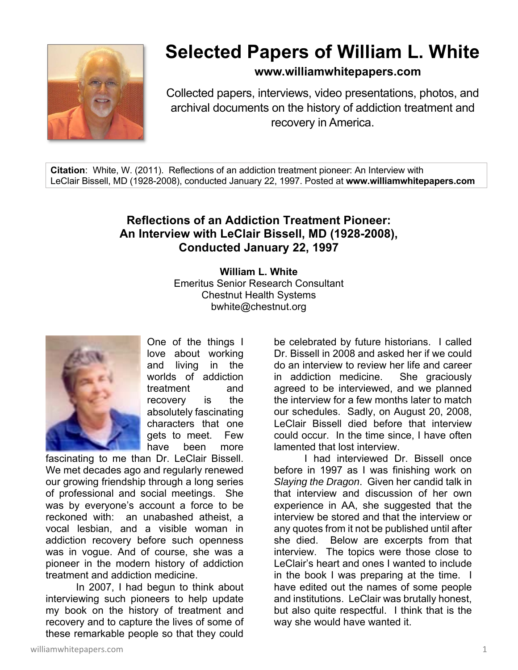

# **Selected Papers of William L. White**

**www.williamwhitepapers.com**

Collected papers, interviews, video presentations, photos, and archival documents on the history of addiction treatment and recovery in America.

**Citation**: White, W. (2011). Reflections of an addiction treatment pioneer: An Interview with LeClair Bissell, MD (1928-2008), conducted January 22, 1997. Posted at **www.williamwhitepapers.com** 

# **Reflections of an Addiction Treatment Pioneer: An Interview with LeClair Bissell, MD (1928-2008), Conducted January 22, 1997**

**William L. White**  Emeritus Senior Research Consultant Chestnut Health Systems bwhite@chestnut.org



One of the things I love about working and living in the worlds of addiction treatment and recovery is the absolutely fascinating characters that one gets to meet. Few have been more

fascinating to me than Dr. LeClair Bissell. We met decades ago and regularly renewed our growing friendship through a long series of professional and social meetings. She was by everyone's account a force to be reckoned with: an unabashed atheist, a vocal lesbian, and a visible woman in addiction recovery before such openness was in vogue. And of course, she was a pioneer in the modern history of addiction treatment and addiction medicine.

 In 2007, I had begun to think about interviewing such pioneers to help update my book on the history of treatment and recovery and to capture the lives of some of these remarkable people so that they could

be celebrated by future historians. I called Dr. Bissell in 2008 and asked her if we could do an interview to review her life and career in addiction medicine. She graciously agreed to be interviewed, and we planned the interview for a few months later to match our schedules. Sadly, on August 20, 2008, LeClair Bissell died before that interview could occur. In the time since, I have often lamented that lost interview. I had interviewed Dr. Bissell once

before in 1997 as I was finishing work on *Slaying the Dragon*. Given her candid talk in that interview and discussion of her own experience in AA, she suggested that the interview be stored and that the interview or any quotes from it not be published until after she died. Below are excerpts from that interview. The topics were those close to LeClair's heart and ones I wanted to include in the book I was preparing at the time. I have edited out the names of some people and institutions. LeClair was brutally honest, but also quite respectful. I think that is the way she would have wanted it.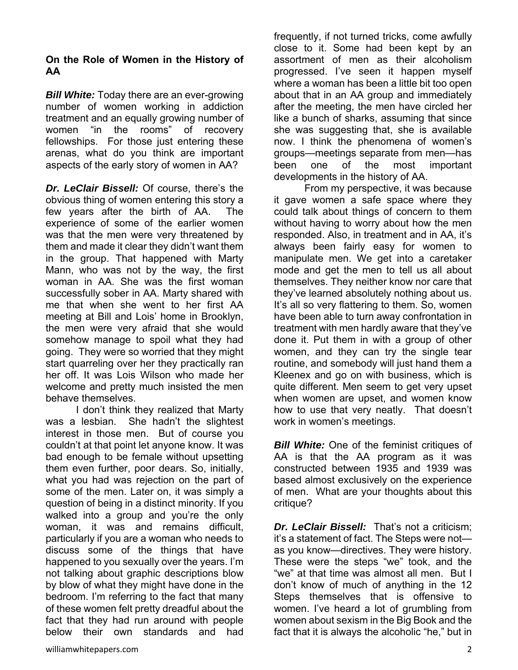#### **On the Role of Women in the History of AA**

*Bill White:* Today there are an ever-growing number of women working in addiction treatment and an equally growing number of women "in the rooms" of recovery fellowships. For those just entering these arenas, what do you think are important aspects of the early story of women in AA?

*Dr. LeClair Bissell:* Of course, there's the obvious thing of women entering this story a few years after the birth of AA. The experience of some of the earlier women was that the men were very threatened by them and made it clear they didn't want them in the group. That happened with Marty Mann, who was not by the way, the first woman in AA. She was the first woman successfully sober in AA. Marty shared with me that when she went to her first AA meeting at Bill and Lois' home in Brooklyn, the men were very afraid that she would somehow manage to spoil what they had going. They were so worried that they might start quarreling over her they practically ran her off. It was Lois Wilson who made her welcome and pretty much insisted the men behave themselves.

 I don't think they realized that Marty was a lesbian. She hadn't the slightest interest in those men. But of course you couldn't at that point let anyone know. It was bad enough to be female without upsetting them even further, poor dears. So, initially, what you had was rejection on the part of some of the men. Later on, it was simply a question of being in a distinct minority. If you walked into a group and you're the only woman, it was and remains difficult, particularly if you are a woman who needs to discuss some of the things that have happened to you sexually over the years. I'm not talking about graphic descriptions blow by blow of what they might have done in the bedroom. I'm referring to the fact that many of these women felt pretty dreadful about the fact that they had run around with people below their own standards and had

frequently, if not turned tricks, come awfully close to it. Some had been kept by an assortment of men as their alcoholism progressed. I've seen it happen myself where a woman has been a little bit too open about that in an AA group and immediately after the meeting, the men have circled her like a bunch of sharks, assuming that since she was suggesting that, she is available now. I think the phenomena of women's groups—meetings separate from men—has been one of the most important developments in the history of AA.

 From my perspective, it was because it gave women a safe space where they could talk about things of concern to them without having to worry about how the men responded. Also, in treatment and in AA, it's always been fairly easy for women to manipulate men. We get into a caretaker mode and get the men to tell us all about themselves. They neither know nor care that they've learned absolutely nothing about us. It's all so very flattering to them. So, women have been able to turn away confrontation in treatment with men hardly aware that they've done it. Put them in with a group of other women, and they can try the single tear routine, and somebody will just hand them a Kleenex and go on with business, which is quite different. Men seem to get very upset when women are upset, and women know how to use that very neatly. That doesn't work in women's meetings.

*Bill White:* One of the feminist critiques of AA is that the AA program as it was constructed between 1935 and 1939 was based almost exclusively on the experience of men. What are your thoughts about this critique?

*Dr. LeClair Bissell:* That's not a criticism; it's a statement of fact. The Steps were not as you know—directives. They were history. These were the steps "we" took, and the "we" at that time was almost all men. But I don't know of much of anything in the 12 Steps themselves that is offensive to women. I've heard a lot of grumbling from women about sexism in the Big Book and the fact that it is always the alcoholic "he," but in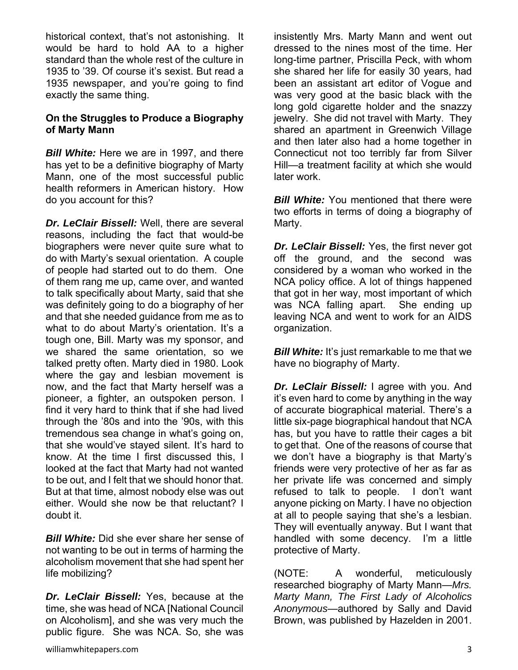historical context, that's not astonishing. It would be hard to hold AA to a higher standard than the whole rest of the culture in 1935 to '39. Of course it's sexist. But read a 1935 newspaper, and you're going to find exactly the same thing.

# **On the Struggles to Produce a Biography of Marty Mann**

*Bill White:* Here we are in 1997, and there has yet to be a definitive biography of Marty Mann, one of the most successful public health reformers in American history. How do you account for this?

*Dr. LeClair Bissell:* Well, there are several reasons, including the fact that would-be biographers were never quite sure what to do with Marty's sexual orientation. A couple of people had started out to do them. One of them rang me up, came over, and wanted to talk specifically about Marty, said that she was definitely going to do a biography of her and that she needed guidance from me as to what to do about Marty's orientation. It's a tough one, Bill. Marty was my sponsor, and we shared the same orientation, so we talked pretty often. Marty died in 1980. Look where the gay and lesbian movement is now, and the fact that Marty herself was a pioneer, a fighter, an outspoken person. I find it very hard to think that if she had lived through the '80s and into the '90s, with this tremendous sea change in what's going on, that she would've stayed silent. It's hard to know. At the time I first discussed this, I looked at the fact that Marty had not wanted to be out, and I felt that we should honor that. But at that time, almost nobody else was out either. Would she now be that reluctant? I doubt it.

*Bill White:* Did she ever share her sense of not wanting to be out in terms of harming the alcoholism movement that she had spent her life mobilizing?

*Dr. LeClair Bissell:* Yes, because at the time, she was head of NCA [National Council on Alcoholism], and she was very much the public figure. She was NCA. So, she was

insistently Mrs. Marty Mann and went out dressed to the nines most of the time. Her long-time partner, Priscilla Peck, with whom she shared her life for easily 30 years, had been an assistant art editor of Vogue and was very good at the basic black with the long gold cigarette holder and the snazzy jewelry. She did not travel with Marty. They shared an apartment in Greenwich Village and then later also had a home together in Connecticut not too terribly far from Silver Hill—a treatment facility at which she would later work.

*Bill White:* You mentioned that there were two efforts in terms of doing a biography of Marty.

*Dr. LeClair Bissell:* Yes, the first never got off the ground, and the second was considered by a woman who worked in the NCA policy office. A lot of things happened that got in her way, most important of which was NCA falling apart. She ending up leaving NCA and went to work for an AIDS organization.

*Bill White:* It's just remarkable to me that we have no biography of Marty.

*Dr. LeClair Bissell:* I agree with you. And it's even hard to come by anything in the way of accurate biographical material. There's a little six-page biographical handout that NCA has, but you have to rattle their cages a bit to get that. One of the reasons of course that we don't have a biography is that Marty's friends were very protective of her as far as her private life was concerned and simply refused to talk to people. I don't want anyone picking on Marty. I have no objection at all to people saying that she's a lesbian. They will eventually anyway. But I want that handled with some decency. I'm a little protective of Marty.

(NOTE: A wonderful, meticulously researched biography of Marty Mann—*Mrs. Marty Mann, The First Lady of Alcoholics Anonymous*—authored by Sally and David Brown, was published by Hazelden in 2001.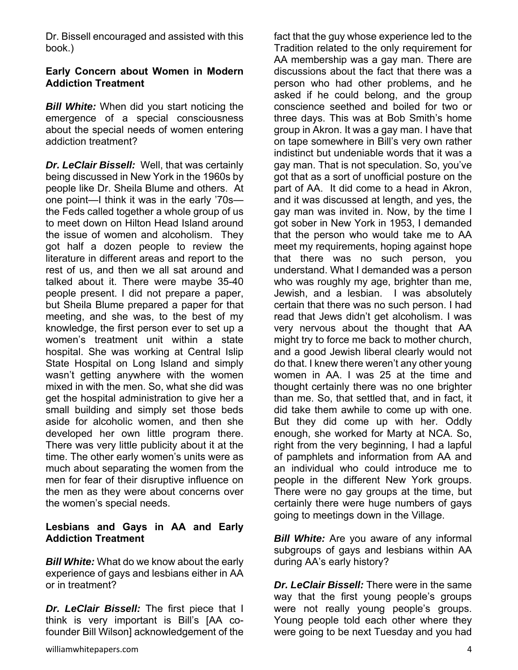Dr. Bissell encouraged and assisted with this book.)

# **Early Concern about Women in Modern Addiction Treatment**

*Bill White:* When did you start noticing the emergence of a special consciousness about the special needs of women entering addiction treatment?

*Dr. LeClair Bissell:*Well, that was certainly being discussed in New York in the 1960s by people like Dr. Sheila Blume and others. At one point—I think it was in the early '70s the Feds called together a whole group of us to meet down on Hilton Head Island around the issue of women and alcoholism. They got half a dozen people to review the literature in different areas and report to the rest of us, and then we all sat around and talked about it. There were maybe 35-40 people present. I did not prepare a paper, but Sheila Blume prepared a paper for that meeting, and she was, to the best of my knowledge, the first person ever to set up a women's treatment unit within a state hospital. She was working at Central Islip State Hospital on Long Island and simply wasn't getting anywhere with the women mixed in with the men. So, what she did was get the hospital administration to give her a small building and simply set those beds aside for alcoholic women, and then she developed her own little program there. There was very little publicity about it at the time. The other early women's units were as much about separating the women from the men for fear of their disruptive influence on the men as they were about concerns over the women's special needs.

# **Lesbians and Gays in AA and Early Addiction Treatment**

*Bill White:* What do we know about the early experience of gays and lesbians either in AA or in treatment?

*Dr. LeClair Bissell:* The first piece that I think is very important is Bill's [AA cofounder Bill Wilson] acknowledgement of the

fact that the guy whose experience led to the Tradition related to the only requirement for AA membership was a gay man. There are discussions about the fact that there was a person who had other problems, and he asked if he could belong, and the group conscience seethed and boiled for two or three days. This was at Bob Smith's home group in Akron. It was a gay man. I have that on tape somewhere in Bill's very own rather indistinct but undeniable words that it was a gay man. That is not speculation. So, you've got that as a sort of unofficial posture on the part of AA. It did come to a head in Akron, and it was discussed at length, and yes, the gay man was invited in. Now, by the time I got sober in New York in 1953, I demanded that the person who would take me to AA meet my requirements, hoping against hope that there was no such person, you understand. What I demanded was a person who was roughly my age, brighter than me, Jewish, and a lesbian. I was absolutely certain that there was no such person. I had read that Jews didn't get alcoholism. I was very nervous about the thought that AA might try to force me back to mother church, and a good Jewish liberal clearly would not do that. I knew there weren't any other young women in AA. I was 25 at the time and thought certainly there was no one brighter than me. So, that settled that, and in fact, it did take them awhile to come up with one. But they did come up with her. Oddly enough, she worked for Marty at NCA. So, right from the very beginning, I had a lapful of pamphlets and information from AA and an individual who could introduce me to people in the different New York groups. There were no gay groups at the time, but certainly there were huge numbers of gays going to meetings down in the Village.

*Bill White:* Are you aware of any informal subgroups of gays and lesbians within AA during AA's early history?

*Dr. LeClair Bissell:* There were in the same way that the first young people's groups were not really young people's groups. Young people told each other where they were going to be next Tuesday and you had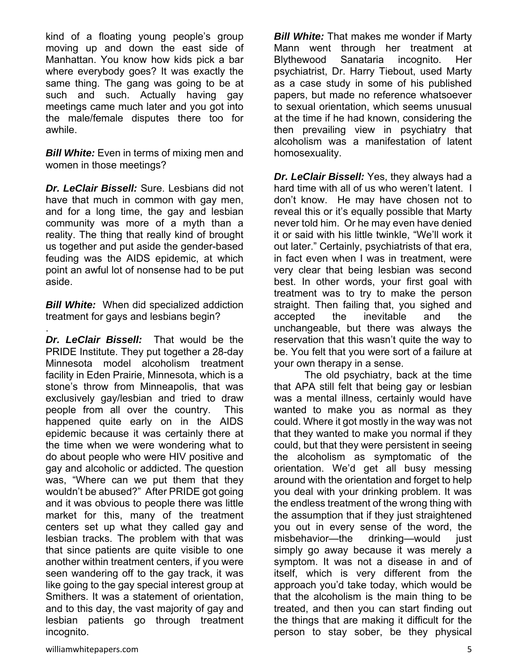kind of a floating young people's group moving up and down the east side of Manhattan. You know how kids pick a bar where everybody goes? It was exactly the same thing. The gang was going to be at such and such. Actually having gay meetings came much later and you got into the male/female disputes there too for awhile.

*Bill White:* Even in terms of mixing men and women in those meetings?

*Dr. LeClair Bissell:* Sure. Lesbians did not have that much in common with gay men, and for a long time, the gay and lesbian community was more of a myth than a reality. The thing that really kind of brought us together and put aside the gender-based feuding was the AIDS epidemic, at which point an awful lot of nonsense had to be put aside.

*Bill White:* When did specialized addiction treatment for gays and lesbians begin?

.

*Dr. LeClair Bissell:* That would be the PRIDE Institute. They put together a 28-day Minnesota model alcoholism treatment facility in Eden Prairie, Minnesota, which is a stone's throw from Minneapolis, that was exclusively gay/lesbian and tried to draw people from all over the country. This happened quite early on in the AIDS epidemic because it was certainly there at the time when we were wondering what to do about people who were HIV positive and gay and alcoholic or addicted. The question was, "Where can we put them that they wouldn't be abused?" After PRIDE got going and it was obvious to people there was little market for this, many of the treatment centers set up what they called gay and lesbian tracks. The problem with that was that since patients are quite visible to one another within treatment centers, if you were seen wandering off to the gay track, it was like going to the gay special interest group at Smithers. It was a statement of orientation, and to this day, the vast majority of gay and lesbian patients go through treatment incognito.

*Bill White:* That makes me wonder if Marty Mann went through her treatment at Blythewood Sanataria incognito. Her psychiatrist, Dr. Harry Tiebout, used Marty as a case study in some of his published papers, but made no reference whatsoever to sexual orientation, which seems unusual at the time if he had known, considering the then prevailing view in psychiatry that alcoholism was a manifestation of latent homosexuality.

*Dr. LeClair Bissell:* Yes, they always had a hard time with all of us who weren't latent. I don't know. He may have chosen not to reveal this or it's equally possible that Marty never told him. Or he may even have denied it or said with his little twinkle, "We'll work it out later." Certainly, psychiatrists of that era, in fact even when I was in treatment, were very clear that being lesbian was second best. In other words, your first goal with treatment was to try to make the person straight. Then failing that, you sighed and accepted the inevitable and the unchangeable, but there was always the reservation that this wasn't quite the way to be. You felt that you were sort of a failure at your own therapy in a sense.

 The old psychiatry, back at the time that APA still felt that being gay or lesbian was a mental illness, certainly would have wanted to make you as normal as they could. Where it got mostly in the way was not that they wanted to make you normal if they could, but that they were persistent in seeing the alcoholism as symptomatic of the orientation. We'd get all busy messing around with the orientation and forget to help you deal with your drinking problem. It was the endless treatment of the wrong thing with the assumption that if they just straightened you out in every sense of the word, the misbehavior—the drinking—would just simply go away because it was merely a symptom. It was not a disease in and of itself, which is very different from the approach you'd take today, which would be that the alcoholism is the main thing to be treated, and then you can start finding out the things that are making it difficult for the person to stay sober, be they physical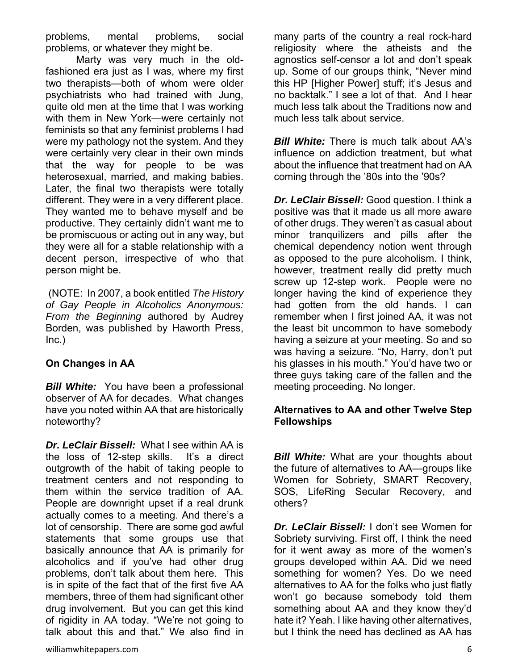problems, mental problems, social problems, or whatever they might be.

 Marty was very much in the oldfashioned era just as I was, where my first two therapists—both of whom were older psychiatrists who had trained with Jung, quite old men at the time that I was working with them in New York—were certainly not feminists so that any feminist problems I had were my pathology not the system. And they were certainly very clear in their own minds that the way for people to be was heterosexual, married, and making babies. Later, the final two therapists were totally different. They were in a very different place. They wanted me to behave myself and be productive. They certainly didn't want me to be promiscuous or acting out in any way, but they were all for a stable relationship with a decent person, irrespective of who that person might be.

 (NOTE: In 2007, a book entitled *The History of Gay People in Alcoholics Anonymous: From the Beginning* authored by Audrey Borden, was published by Haworth Press, Inc.)

# **On Changes in AA**

*Bill White:* You have been a professional observer of AA for decades. What changes have you noted within AA that are historically noteworthy?

*Dr. LeClair Bissell:* What I see within AA is the loss of 12-step skills. It's a direct outgrowth of the habit of taking people to treatment centers and not responding to them within the service tradition of AA. People are downright upset if a real drunk actually comes to a meeting. And there's a lot of censorship. There are some god awful statements that some groups use that basically announce that AA is primarily for alcoholics and if you've had other drug problems, don't talk about them here. This is in spite of the fact that of the first five AA members, three of them had significant other drug involvement. But you can get this kind of rigidity in AA today. "We're not going to talk about this and that." We also find in *Bill White:* There is much talk about AA's influence on addiction treatment, but what about the influence that treatment had on AA coming through the '80s into the '90s?

*Dr. LeClair Bissell:* Good question. I think a positive was that it made us all more aware of other drugs. They weren't as casual about minor tranquilizers and pills after the chemical dependency notion went through as opposed to the pure alcoholism. I think, however, treatment really did pretty much screw up 12-step work. People were no longer having the kind of experience they had gotten from the old hands. I can remember when I first joined AA, it was not the least bit uncommon to have somebody having a seizure at your meeting. So and so was having a seizure. "No, Harry, don't put his glasses in his mouth." You'd have two or three guys taking care of the fallen and the meeting proceeding. No longer.

#### **Alternatives to AA and other Twelve Step Fellowships**

*Bill White:* What are your thoughts about the future of alternatives to AA—groups like Women for Sobriety, SMART Recovery, SOS, LifeRing Secular Recovery, and others?

*Dr. LeClair Bissell:* I don't see Women for Sobriety surviving. First off, I think the need for it went away as more of the women's groups developed within AA. Did we need something for women? Yes. Do we need alternatives to AA for the folks who just flatly won't go because somebody told them something about AA and they know they'd hate it? Yeah. I like having other alternatives, but I think the need has declined as AA has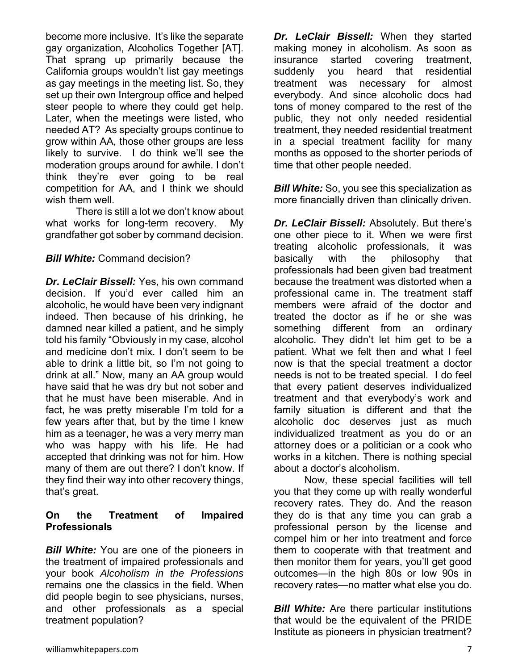become more inclusive. It's like the separate gay organization, Alcoholics Together [AT]. That sprang up primarily because the California groups wouldn't list gay meetings as gay meetings in the meeting list. So, they set up their own Intergroup office and helped steer people to where they could get help. Later, when the meetings were listed, who needed AT? As specialty groups continue to grow within AA, those other groups are less likely to survive. I do think we'll see the moderation groups around for awhile. I don't think they're ever going to be real competition for AA, and I think we should wish them well.

 There is still a lot we don't know about what works for long-term recovery. My grandfather got sober by command decision.

#### *Bill White:* Command decision?

*Dr. LeClair Bissell:* Yes, his own command decision. If you'd ever called him an alcoholic, he would have been very indignant indeed. Then because of his drinking, he damned near killed a patient, and he simply told his family "Obviously in my case, alcohol and medicine don't mix. I don't seem to be able to drink a little bit, so I'm not going to drink at all." Now, many an AA group would have said that he was dry but not sober and that he must have been miserable. And in fact, he was pretty miserable I'm told for a few years after that, but by the time I knew him as a teenager, he was a very merry man who was happy with his life. He had accepted that drinking was not for him. How many of them are out there? I don't know. If they find their way into other recovery things, that's great.

# **On the Treatment of Impaired Professionals**

*Bill White:* You are one of the pioneers in the treatment of impaired professionals and your book *Alcoholism in the Professions* remains one the classics in the field. When did people begin to see physicians, nurses, and other professionals as a special treatment population?

*Dr. LeClair Bissell:* When they started making money in alcoholism. As soon as insurance started covering treatment, suddenly you heard that residential treatment was necessary for almost everybody. And since alcoholic docs had tons of money compared to the rest of the public, they not only needed residential treatment, they needed residential treatment in a special treatment facility for many months as opposed to the shorter periods of time that other people needed.

*Bill White:* So, you see this specialization as more financially driven than clinically driven.

*Dr. LeClair Bissell:* Absolutely. But there's one other piece to it. When we were first treating alcoholic professionals, it was basically with the philosophy that professionals had been given bad treatment because the treatment was distorted when a professional came in. The treatment staff members were afraid of the doctor and treated the doctor as if he or she was something different from an ordinary alcoholic. They didn't let him get to be a patient. What we felt then and what I feel now is that the special treatment a doctor needs is not to be treated special. I do feel that every patient deserves individualized treatment and that everybody's work and family situation is different and that the alcoholic doc deserves just as much individualized treatment as you do or an attorney does or a politician or a cook who works in a kitchen. There is nothing special about a doctor's alcoholism.

 Now, these special facilities will tell you that they come up with really wonderful recovery rates. They do. And the reason they do is that any time you can grab a professional person by the license and compel him or her into treatment and force them to cooperate with that treatment and then monitor them for years, you'll get good outcomes—in the high 80s or low 90s in recovery rates—no matter what else you do.

*Bill White:* Are there particular institutions that would be the equivalent of the PRIDE Institute as pioneers in physician treatment?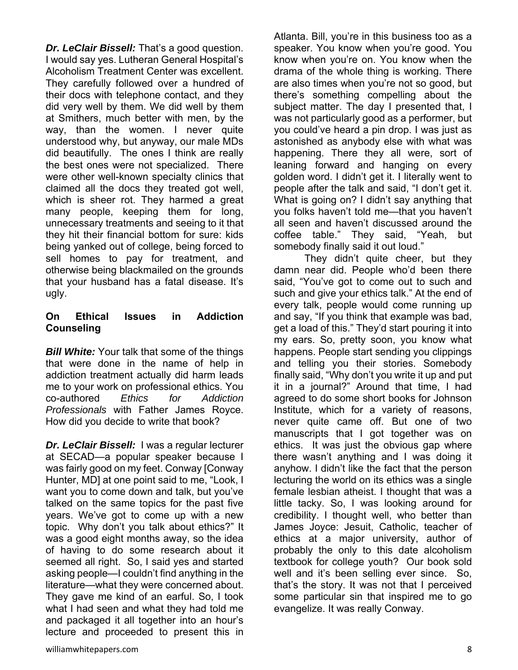*Dr. LeClair Bissell:* That's a good question. I would say yes. Lutheran General Hospital's Alcoholism Treatment Center was excellent. They carefully followed over a hundred of their docs with telephone contact, and they did very well by them. We did well by them at Smithers, much better with men, by the way, than the women. I never quite understood why, but anyway, our male MDs did beautifully. The ones I think are really the best ones were not specialized. There were other well-known specialty clinics that claimed all the docs they treated got well, which is sheer rot. They harmed a great many people, keeping them for long, unnecessary treatments and seeing to it that they hit their financial bottom for sure: kids being yanked out of college, being forced to sell homes to pay for treatment, and otherwise being blackmailed on the grounds that your husband has a fatal disease. It's ugly.

### **On Ethical Issues in Addiction Counseling**

*Bill White:* Your talk that some of the things that were done in the name of help in addiction treatment actually did harm leads me to your work on professional ethics. You co-authored *Ethics for Addiction Professionals* with Father James Royce. How did you decide to write that book?

*Dr. LeClair Bissell:* I was a regular lecturer at SECAD—a popular speaker because I was fairly good on my feet. Conway [Conway Hunter, MD] at one point said to me, "Look, I want you to come down and talk, but you've talked on the same topics for the past five years. We've got to come up with a new topic. Why don't you talk about ethics?" It was a good eight months away, so the idea of having to do some research about it seemed all right. So, I said yes and started asking people—I couldn't find anything in the literature—what they were concerned about. They gave me kind of an earful. So, I took what I had seen and what they had told me and packaged it all together into an hour's lecture and proceeded to present this in

Atlanta. Bill, you're in this business too as a speaker. You know when you're good. You know when you're on. You know when the drama of the whole thing is working. There are also times when you're not so good, but there's something compelling about the subject matter. The day I presented that, I was not particularly good as a performer, but you could've heard a pin drop. I was just as astonished as anybody else with what was happening. There they all were, sort of leaning forward and hanging on every golden word. I didn't get it. I literally went to people after the talk and said, "I don't get it. What is going on? I didn't say anything that you folks haven't told me—that you haven't all seen and haven't discussed around the coffee table." They said, "Yeah, but somebody finally said it out loud."

They didn't quite cheer, but they damn near did. People who'd been there said, "You've got to come out to such and such and give your ethics talk." At the end of every talk, people would come running up and say, "If you think that example was bad, get a load of this." They'd start pouring it into my ears. So, pretty soon, you know what happens. People start sending you clippings and telling you their stories. Somebody finally said, "Why don't you write it up and put it in a journal?" Around that time, I had agreed to do some short books for Johnson Institute, which for a variety of reasons, never quite came off. But one of two manuscripts that I got together was on ethics. It was just the obvious gap where there wasn't anything and I was doing it anyhow. I didn't like the fact that the person lecturing the world on its ethics was a single female lesbian atheist. I thought that was a little tacky. So, I was looking around for credibility. I thought well, who better than James Joyce: Jesuit, Catholic, teacher of ethics at a major university, author of probably the only to this date alcoholism textbook for college youth? Our book sold well and it's been selling ever since. So, that's the story. It was not that I perceived some particular sin that inspired me to go evangelize. It was really Conway.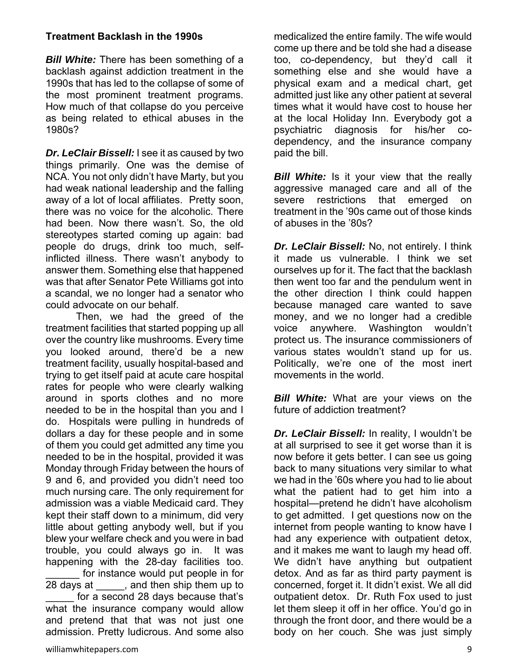# **Treatment Backlash in the 1990s**

*Bill White:* There has been something of a backlash against addiction treatment in the 1990s that has led to the collapse of some of the most prominent treatment programs. How much of that collapse do you perceive as being related to ethical abuses in the 1980s?

*Dr. LeClair Bissell:* I see it as caused by two things primarily. One was the demise of NCA. You not only didn't have Marty, but you had weak national leadership and the falling away of a lot of local affiliates. Pretty soon, there was no voice for the alcoholic. There had been. Now there wasn't. So, the old stereotypes started coming up again: bad people do drugs, drink too much, selfinflicted illness. There wasn't anybody to answer them. Something else that happened was that after Senator Pete Williams got into a scandal, we no longer had a senator who could advocate on our behalf.

 Then, we had the greed of the treatment facilities that started popping up all over the country like mushrooms. Every time you looked around, there'd be a new treatment facility, usually hospital-based and trying to get itself paid at acute care hospital rates for people who were clearly walking around in sports clothes and no more needed to be in the hospital than you and I do. Hospitals were pulling in hundreds of dollars a day for these people and in some of them you could get admitted any time you needed to be in the hospital, provided it was Monday through Friday between the hours of 9 and 6, and provided you didn't need too much nursing care. The only requirement for admission was a viable Medicaid card. They kept their staff down to a minimum, did very little about getting anybody well, but if you blew your welfare check and you were in bad trouble, you could always go in. It was happening with the 28-day facilities too. for instance would put people in for 28 days at  $\qquad$ , and then ship them up to for a second 28 days because that's what the insurance company would allow and pretend that that was not just one admission. Pretty ludicrous. And some also

medicalized the entire family. The wife would come up there and be told she had a disease too, co-dependency, but they'd call it something else and she would have a physical exam and a medical chart, get admitted just like any other patient at several times what it would have cost to house her at the local Holiday Inn. Everybody got a psychiatric diagnosis for his/her codependency, and the insurance company paid the bill.

**Bill White:** Is it your view that the really aggressive managed care and all of the severe restrictions that emerged on treatment in the '90s came out of those kinds of abuses in the '80s?

*Dr. LeClair Bissell:* No, not entirely. I think it made us vulnerable. I think we set ourselves up for it. The fact that the backlash then went too far and the pendulum went in the other direction I think could happen because managed care wanted to save money, and we no longer had a credible voice anywhere. Washington wouldn't protect us. The insurance commissioners of various states wouldn't stand up for us. Politically, we're one of the most inert movements in the world.

*Bill White:* What are your views on the future of addiction treatment?

*Dr. LeClair Bissell:* In reality, I wouldn't be at all surprised to see it get worse than it is now before it gets better. I can see us going back to many situations very similar to what we had in the '60s where you had to lie about what the patient had to get him into a hospital—pretend he didn't have alcoholism to get admitted. I get questions now on the internet from people wanting to know have I had any experience with outpatient detox, and it makes me want to laugh my head off. We didn't have anything but outpatient detox. And as far as third party payment is concerned, forget it. It didn't exist. We all did outpatient detox. Dr. Ruth Fox used to just let them sleep it off in her office. You'd go in through the front door, and there would be a body on her couch. She was just simply